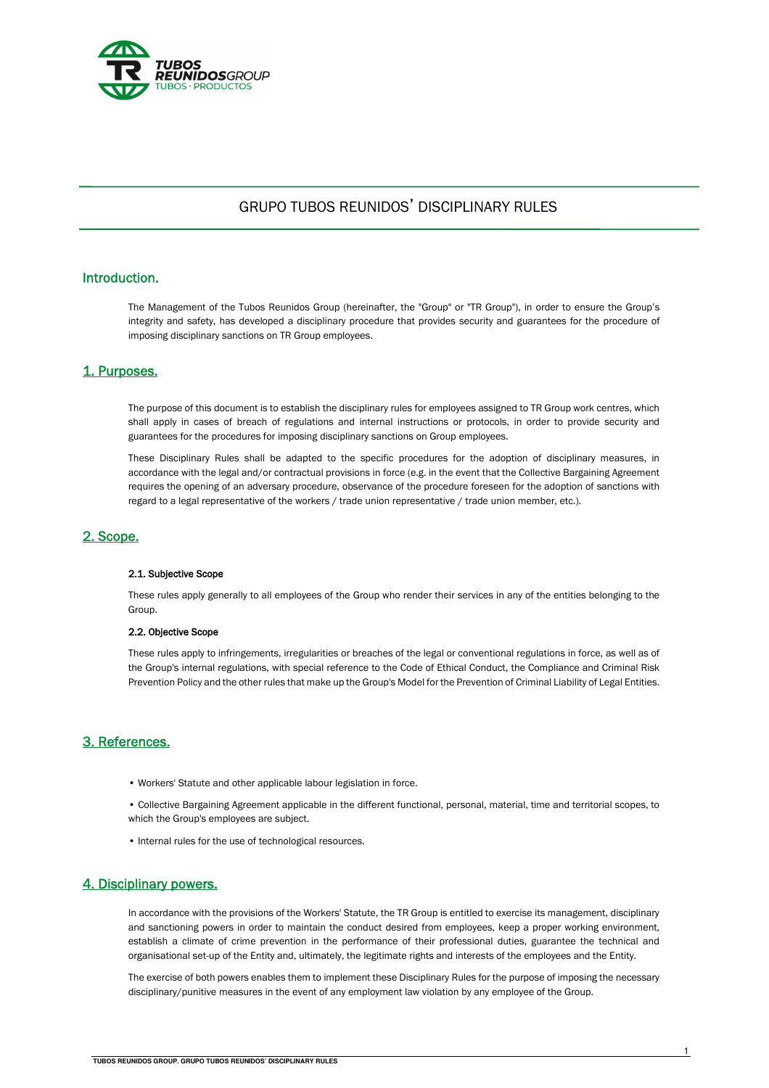

# GRUPO TUBOS REUNIDOS' DISCIPLINARY RULES

# Introduction.

 The Management of the Tubos Reunidos Group (hereinafter, the "Group" or "TR Group"), in order to ensure the Group's integrity and safety, has developed a disciplinary procedure that provides security and guarantees for the procedure of imposing disciplinary sanctions on TR Group employees.

#### 1. Purposes.

The purpose of this document is to establish the disciplinary rules for employees assigned to TR Group work centres, which shall apply in cases of breach of regulations and internal instructions or protocols, in order to provide security and guarantees for the procedures for imposing disciplinary sanctions on Group employees.

 These Disciplinary Rules shall be adapted to the specific procedures for the adoption of disciplinary measures, in accordance with the legal and/or contractual provisions in force (e.g. in the event that the Collective Bargaining Agreement requires the opening of an adversary procedure, observance of the procedure foreseen for the adoption of sanctions with regard to a legal representative of the workers / trade union representative / trade union member, etc.).

#### 2. Scope.

#### 2.1. Subjective Scope

These rules apply generally to all employees of the Group who render their services in any of the entities belonging to the Group.

#### 2.2. Objective Scope

These rules apply to infringements, irregularities or breaches of the legal or conventional regulations in force, as well as of the Group's internal regulations, with special reference to the Code of Ethical Conduct, the Compliance and Criminal Risk Prevention Policy and the other rules that make up the Group's Model for the Prevention of Criminal Liability of Legal Entities.

#### 3. References.

- Workers' Statute and other applicable labour legislation in force.
- Collective Bargaining Agreement applicable in the different functional, personal, material, time and territorial scopes, to which the Group's employees are subject.
- Internal rules for the use of technological resources.

#### 4. Disciplinary powers.

In accordance with the provisions of the Workers' Statute, the TR Group is entitled to exercise its management, disciplinary and sanctioning powers in order to maintain the conduct desired from employees, keep a proper working environment, establish a climate of crime prevention in the performance of their professional duties, guarantee the technical and organisational set-up of the Entity and, ultimately, the legitimate rights and interests of the employees and the Entity.

The exercise of both powers enables them to implement these Disciplinary Rules for the purpose of imposing the necessary disciplinary/punitive measures in the event of any employment law violation by any employee of the Group.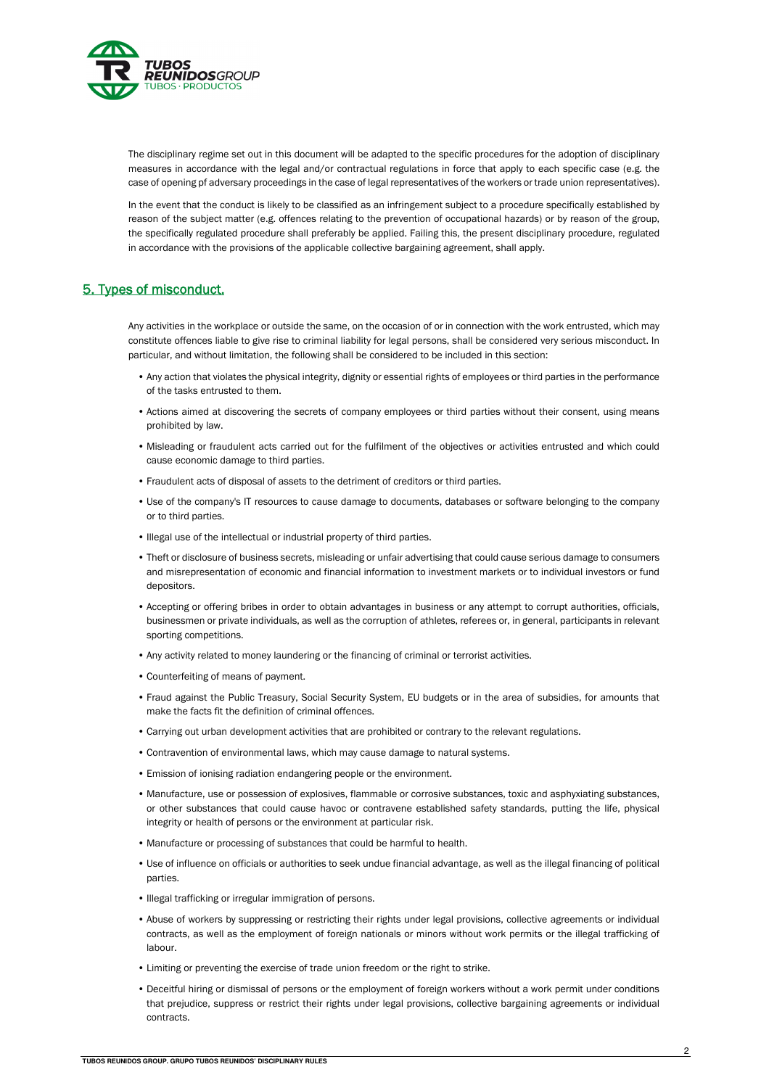

The disciplinary regime set out in this document will be adapted to the specific procedures for the adoption of disciplinary measures in accordance with the legal and/or contractual regulations in force that apply to each specific case (e.g. the case of opening pf adversary proceedings in the case of legal representatives of the workers or trade union representatives).

In the event that the conduct is likely to be classified as an infringement subject to a procedure specifically established by reason of the subject matter (e.g. offences relating to the prevention of occupational hazards) or by reason of the group, the specifically regulated procedure shall preferably be applied. Failing this, the present disciplinary procedure, regulated in accordance with the provisions of the applicable collective bargaining agreement, shall apply.

# 5. Types of misconduct.

Any activities in the workplace or outside the same, on the occasion of or in connection with the work entrusted, which may constitute offences liable to give rise to criminal liability for legal persons, shall be considered very serious misconduct. In particular, and without limitation, the following shall be considered to be included in this section:

- Any action that violates the physical integrity, dignity or essential rights of employees or third parties in the performance of the tasks entrusted to them.
- Actions aimed at discovering the secrets of company employees or third parties without their consent, using means prohibited by law.
- Misleading or fraudulent acts carried out for the fulfilment of the objectives or activities entrusted and which could cause economic damage to third parties.
- Fraudulent acts of disposal of assets to the detriment of creditors or third parties.
- Use of the company's IT resources to cause damage to documents, databases or software belonging to the company or to third parties.
- Illegal use of the intellectual or industrial property of third parties.
- Theft or disclosure of business secrets, misleading or unfair advertising that could cause serious damage to consumers and misrepresentation of economic and financial information to investment markets or to individual investors or fund depositors.
- Accepting or offering bribes in order to obtain advantages in business or any attempt to corrupt authorities, officials, businessmen or private individuals, as well as the corruption of athletes, referees or, in general, participants in relevant sporting competitions.
- Any activity related to money laundering or the financing of criminal or terrorist activities.
- Counterfeiting of means of payment.
- Fraud against the Public Treasury, Social Security System, EU budgets or in the area of subsidies, for amounts that make the facts fit the definition of criminal offences.
- Carrying out urban development activities that are prohibited or contrary to the relevant regulations.
- Contravention of environmental laws, which may cause damage to natural systems.
- Emission of ionising radiation endangering people or the environment.
- Manufacture, use or possession of explosives, flammable or corrosive substances, toxic and asphyxiating substances, or other substances that could cause havoc or contravene established safety standards, putting the life, physical integrity or health of persons or the environment at particular risk.
- Manufacture or processing of substances that could be harmful to health.
- Use of influence on officials or authorities to seek undue financial advantage, as well as the illegal financing of political parties.
- Illegal trafficking or irregular immigration of persons.
- Abuse of workers by suppressing or restricting their rights under legal provisions, collective agreements or individual contracts, as well as the employment of foreign nationals or minors without work permits or the illegal trafficking of labour.
- Limiting or preventing the exercise of trade union freedom or the right to strike.
- Deceitful hiring or dismissal of persons or the employment of foreign workers without a work permit under conditions that prejudice, suppress or restrict their rights under legal provisions, collective bargaining agreements or individual contracts.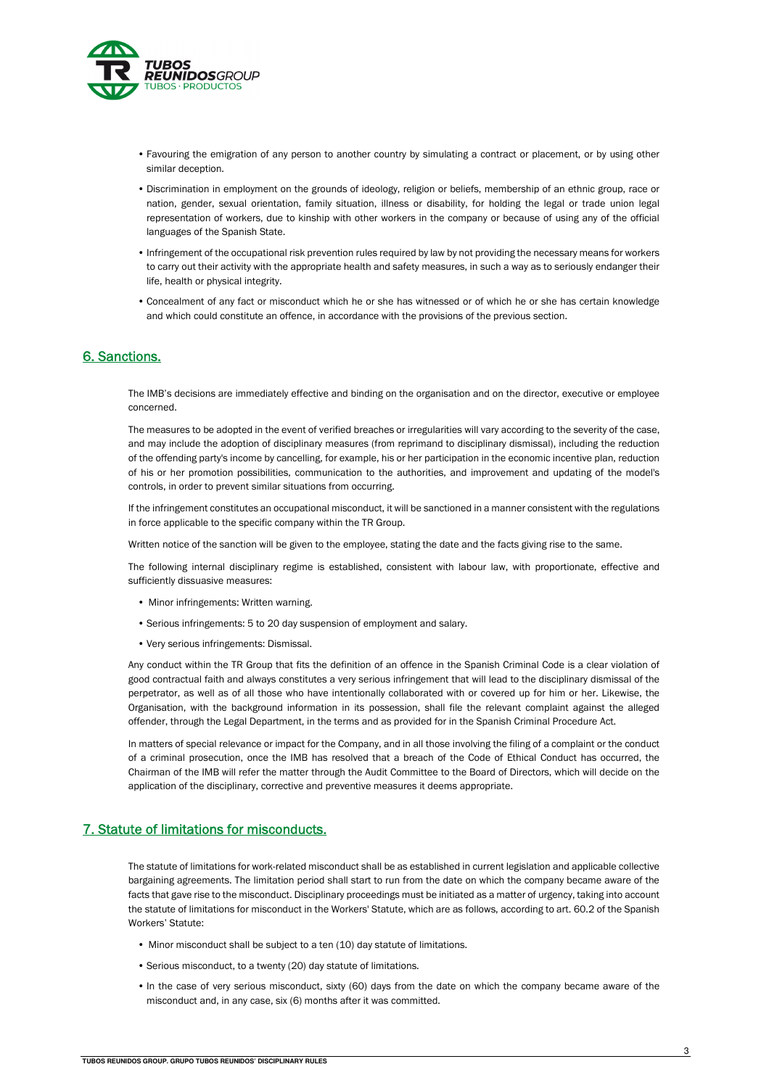

- Favouring the emigration of any person to another country by simulating a contract or placement, or by using other similar deception.
- Discrimination in employment on the grounds of ideology, religion or beliefs, membership of an ethnic group, race or nation, gender, sexual orientation, family situation, illness or disability, for holding the legal or trade union legal representation of workers, due to kinship with other workers in the company or because of using any of the official languages of the Spanish State.
- Infringement of the occupational risk prevention rules required by law by not providing the necessary means for workers to carry out their activity with the appropriate health and safety measures, in such a way as to seriously endanger their life, health or physical integrity.
- Concealment of any fact or misconduct which he or she has witnessed or of which he or she has certain knowledge and which could constitute an offence, in accordance with the provisions of the previous section.

#### 6. Sanctions.

The IMB's decisions are immediately effective and binding on the organisation and on the director, executive or employee concerned.

The measures to be adopted in the event of verified breaches or irregularities will vary according to the severity of the case, and may include the adoption of disciplinary measures (from reprimand to disciplinary dismissal), including the reduction of the offending party's income by cancelling, for example, his or her participation in the economic incentive plan, reduction of his or her promotion possibilities, communication to the authorities, and improvement and updating of the model's controls, in order to prevent similar situations from occurring.

If the infringement constitutes an occupational misconduct, it will be sanctioned in a manner consistent with the regulations in force applicable to the specific company within the TR Group.

Written notice of the sanction will be given to the employee, stating the date and the facts giving rise to the same.

The following internal disciplinary regime is established, consistent with labour law, with proportionate, effective and sufficiently dissuasive measures:

- Minor infringements: Written warning.
- Serious infringements: 5 to 20 day suspension of employment and salary.
- Very serious infringements: Dismissal.

Any conduct within the TR Group that fits the definition of an offence in the Spanish Criminal Code is a clear violation of good contractual faith and always constitutes a very serious infringement that will lead to the disciplinary dismissal of the perpetrator, as well as of all those who have intentionally collaborated with or covered up for him or her. Likewise, the Organisation, with the background information in its possession, shall file the relevant complaint against the alleged offender, through the Legal Department, in the terms and as provided for in the Spanish Criminal Procedure Act.

In matters of special relevance or impact for the Company, and in all those involving the filing of a complaint or the conduct of a criminal prosecution, once the IMB has resolved that a breach of the Code of Ethical Conduct has occurred, the Chairman of the IMB will refer the matter through the Audit Committee to the Board of Directors, which will decide on the application of the disciplinary, corrective and preventive measures it deems appropriate.

#### 7. Statute of limitations for misconducts.

The statute of limitations for work-related misconduct shall be as established in current legislation and applicable collective bargaining agreements. The limitation period shall start to run from the date on which the company became aware of the facts that gave rise to the misconduct. Disciplinary proceedings must be initiated as a matter of urgency, taking into account the statute of limitations for misconduct in the Workers' Statute, which are as follows, according to art. 60.2 of the Spanish Workers' Statute:

- Minor misconduct shall be subject to a ten (10) day statute of limitations.
- Serious misconduct, to a twenty (20) day statute of limitations.
- In the case of very serious misconduct, sixty (60) days from the date on which the company became aware of the misconduct and, in any case, six (6) months after it was committed.